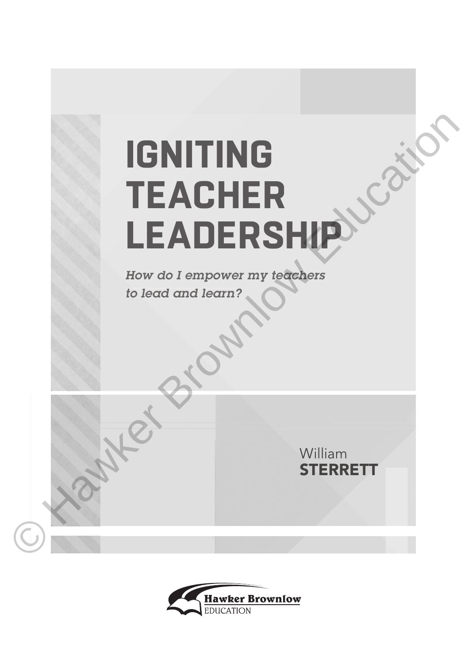## **IGNITING TEACHER LEADERSHIP IGNITING**<br>
TEACHER<br>
LEADERSHIP

*How do I empower my teachers to lead and learn?*

> William **STERRETT**

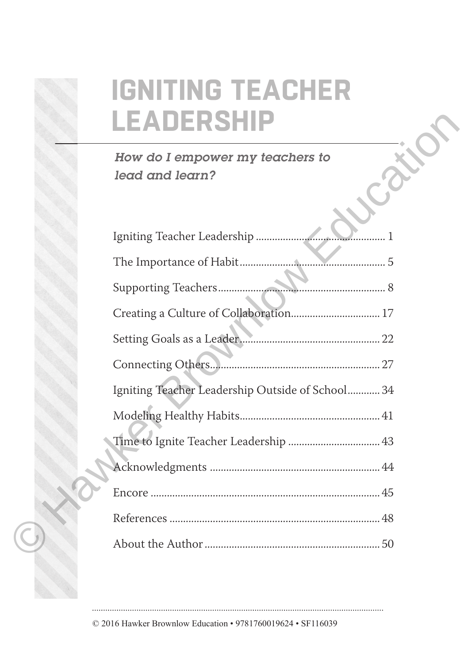## **IGNITING TEACHER LEADERSHIP**

| DERSI                                              |
|----------------------------------------------------|
| How do I empower my teachers to<br>lead and learn? |
|                                                    |
|                                                    |
|                                                    |
| Creating a Culture of Collaboration 17             |
|                                                    |
| Connecting Others                                  |
| Igniting Teacher Leadership Outside of School 34   |
|                                                    |
| Time to Ignite Teacher Leadership  43              |
|                                                    |
|                                                    |
|                                                    |
|                                                    |

© 2016 Hawker Brownlow Education • 9781760019624 • SF116039

©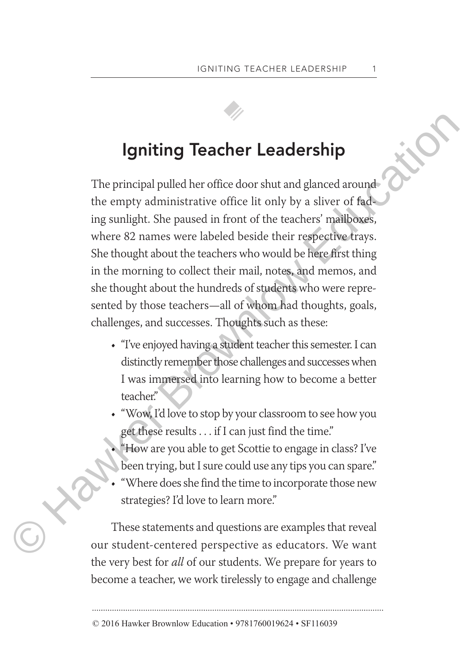## **Igniting Teacher Leadership**

The principal pulled her office door shut and glanced around the empty administrative office lit only by a sliver of fading sunlight. She paused in front of the teachers' mailboxes, where 82 names were labeled beside their respective trays. She thought about the teachers who would be here first thing in the morning to collect their mail, notes, and memos, and she thought about the hundreds of students who were represented by those teachers—all of whom had thoughts, goals, challenges, and successes. Thoughts such as these: Igniting Teacher Leadership<br>The principal pulled her office door shut and glanced around<br>the empty administrative office lit only by a sliver of fide<br>ing sunlight. She paused in front of the teachers' maliboxes,<br>where 82 n

- "I've enjoyed having a student teacher this semester. I can distinctly remember those challenges and successes when I was immersed into learning how to become a better teacher."
- "Wow, I'd love to stop by your classroom to see how you get these results . . . if I can just find the time."
- "How are you able to get Scottie to engage in class? I've been trying, but I sure could use any tips you can spare."
- "Where does she find the time to incorporate those new strategies? I'd love to learn more."

These statements and questions are examples that reveal our student-centered perspective as educators. We want the very best for *all* of our students. We prepare for years to become a teacher, we work tirelessly to engage and challenge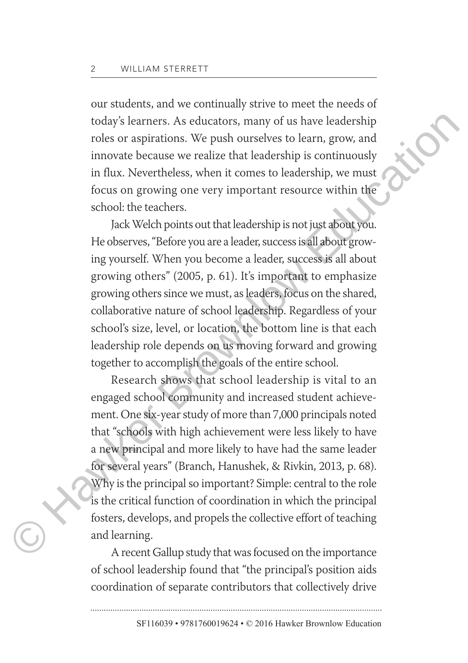our students, and we continually strive to meet the needs of today's learners. As educators, many of us have leadership roles or aspirations. We push ourselves to learn, grow, and innovate because we realize that leadership is continuously in flux. Nevertheless, when it comes to leadership, we must focus on growing one very important resource within the school: the teachers.

Jack Welch points out that leadership is not just about you. He observes, "Before you are a leader, success is all about growing yourself. When you become a leader, success is all about growing others" (2005, p. 61). It's important to emphasize growing others since we must, as leaders, focus on the shared, collaborative nature of school leadership. Regardless of your school's size, level, or location, the bottom line is that each leadership role depends on us moving forward and growing together to accomplish the goals of the entire school.

Research shows that school leadership is vital to an engaged school community and increased student achievement. One six-year study of more than 7,000 principals noted that "schools with high achievement were less likely to have a new principal and more likely to have had the same leader for several years" (Branch, Hanushek, & Rivkin, 2013, p. 68). Why is the principal so important? Simple: central to the role is the critical function of coordination in which the principal fosters, develops, and propels the collective effort of teaching and learning. today's learners. As educators, many of us have leadership<br>roles or a<br>spirations. We push ourselves to learn, grow, and<br>innovate because we realize that leadership is continuously<br>in flux. Nevertheless, when it comes to le

A recent Gallup study that was focused on the importance of school leadership found that "the principal's position aids coordination of separate contributors that collectively drive